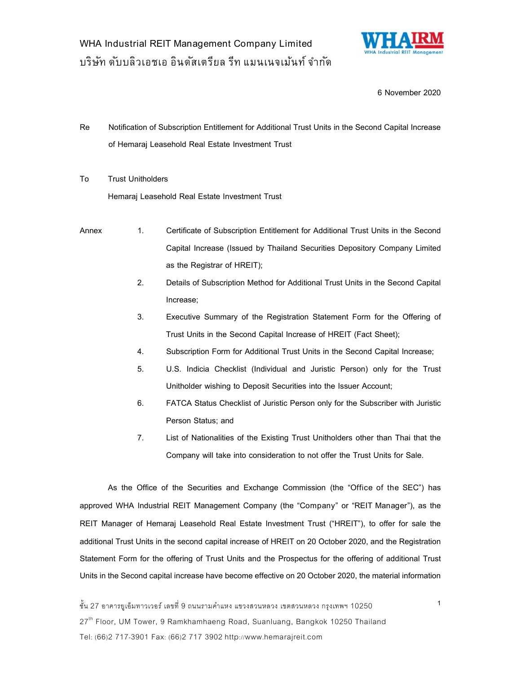

## 6 November 2020

- Re Notification of Subscription Entitlement for Additional Trust Units in the Second Capital Increase of Hemaraj Leasehold Real Estate Investment Trust
- To Trust Unitholders Hemaraj Leasehold Real Estate Investment Trust
- Annex 1. Certificate of Subscription Entitlement for Additional Trust Units in the Second Capital Increase (Issued by Thailand Securities Depository Company Limited as the Registrar of HREIT);
	- 2. Details of Subscription Method for Additional Trust Units in the Second Capital Increase;
	- 3. Executive Summary of the Registration Statement Form for the Offering of Trust Units in the Second Capital Increase of HREIT (Fact Sheet);
	- 4. Subscription Form for Additional Trust Units in the Second Capital Increase;
	- 5. U.S. Indicia Checklist (Individual and Juristic Person) only for the Trust Unitholder wishing to Deposit Securities into the Issuer Account;
	- 6. FATCA Status Checklist of Juristic Person only for the Subscriber with Juristic Person Status; and
	- 7. List of Nationalities of the Existing Trust Unitholders other than Thai that the Company will take into consideration to not offer the Trust Units for Sale.

As the Office of the Securities and Exchange Commission (the "Office of the SEC") has approved WHA Industrial REIT Management Company (the "Company" or "REIT Manager"), as the REIT Manager of Hemaraj Leasehold Real Estate Investment Trust ("HREIT"), to offer for sale the additional Trust Units in the second capital increase of HREIT on 20 October 2020, and the Registration Statement Form for the offering of Trust Units and the Prospectus for the offering of additional Trust Units in the Second capital increase have become effective on 20 October 2020, the material information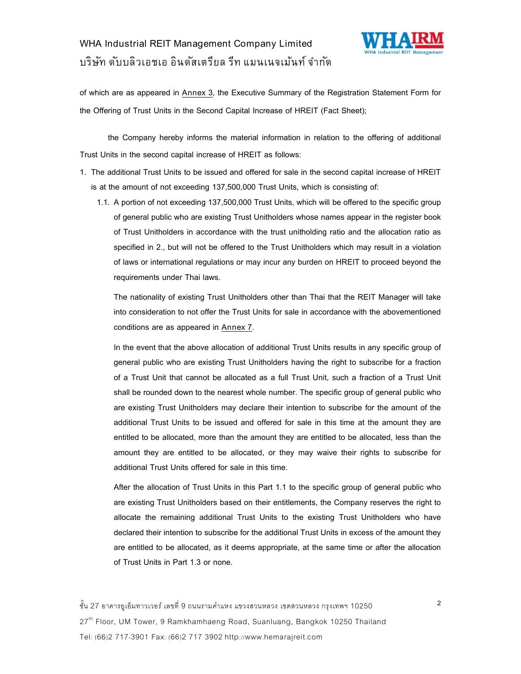## WHA Industrial REIT Management Company Limited ำเริ่นัท ดับบลิวเอชเอ อินดัสเตรียล รีท แมนเนจเม้นท์ จำกัด



of which are as appeared in Annex 3, the Executive Summary of the Registration Statement Form for the Offering of Trust Units in the Second Capital Increase of HREIT (Fact Sheet);

the Company hereby informs the material information in relation to the offering of additional Trust Units in the second capital increase of HREIT as follows:

- 1. The additional Trust Units to be issued and offered for sale in the second capital increase of HREIT is at the amount of not exceeding 137,500,000 Trust Units, which is consisting of:
	- 1.1. A portion of not exceeding 137,500,000 Trust Units, which will be offered to the specific group of general public who are existing Trust Unitholders whose names appear in the register book of Trust Unitholders in accordance with the trust unitholding ratio and the allocation ratio as specified in 2., but will not be offered to the Trust Unitholders which may result in a violation of laws or international regulations or may incur any burden on HREIT to proceed beyond the requirements under Thai laws.

The nationality of existing Trust Unitholders other than Thai that the REIT Manager will take into consideration to not offer the Trust Units for sale in accordance with the abovementioned conditions are as appeared in Annex 7.

In the event that the above allocation of additional Trust Units results in any specific group of general public who are existing Trust Unitholders having the right to subscribe for a fraction of a Trust Unit that cannot be allocated as a full Trust Unit, such a fraction of a Trust Unit shall be rounded down to the nearest whole number. The specific group of general public who are existing Trust Unitholders may declare their intention to subscribe for the amount of the additional Trust Units to be issued and offered for sale in this time at the amount they are entitled to be allocated, more than the amount they are entitled to be allocated, less than the amount they are entitled to be allocated, or they may waive their rights to subscribe for additional Trust Units offered for sale in this time.

After the allocation of Trust Units in this Part 1.1 to the specific group of general public who are existing Trust Unitholders based on their entitlements, the Company reserves the right to allocate the remaining additional Trust Units to the existing Trust Unitholders who have declared their intention to subscribe for the additional Trust Units in excess of the amount they are entitled to be allocated, as it deems appropriate, at the same time or after the allocation of Trust Units in Part 1.3 or none.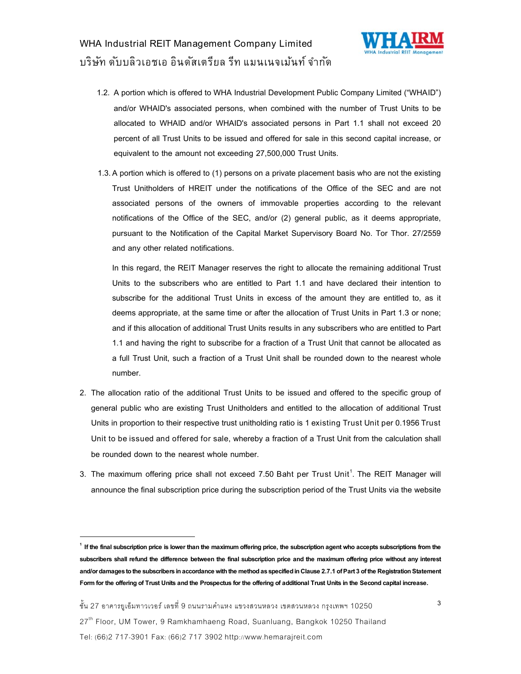

1.2. A portion which is offered to WHA Industrial Development Public Company Limited ("WHAID") and/or WHAID's associated persons, when combined with the number of Trust Units to be allocated to WHAID and/or WHAID's associated persons in Part 1.1 shall not exceed 20 percent of all Trust Units to be issued and offered for sale in this second capital increase, or equivalent to the amount not exceeding 27,500,000 Trust Units.

1.3. A portion which is offered to (1) persons on a private placement basis who are not the existing Trust Unitholders of HREIT under the notifications of the Office of the SEC and are not associated persons of the owners of immovable properties according to the relevant notifications of the Office of the SEC, and/or (2) general public, as it deems appropriate, pursuant to the Notification of the Capital Market Supervisory Board No. Tor Thor. 27/2559 and any other related notifications.

In this regard, the REIT Manager reserves the right to allocate the remaining additional Trust Units to the subscribers who are entitled to Part 1.1 and have declared their intention to subscribe for the additional Trust Units in excess of the amount they are entitled to, as it deems appropriate, at the same time or after the allocation of Trust Units in Part 1.3 or none; and if this allocation of additional Trust Units results in any subscribers who are entitled to Part 1.1 and having the right to subscribe for a fraction of a Trust Unit that cannot be allocated as a full Trust Unit, such a fraction of a Trust Unit shall be rounded down to the nearest whole number.

- 2. The allocation ratio of the additional Trust Units to be issued and offered to the specific group of general public who are existing Trust Unitholders and entitled to the allocation of additional Trust Units in proportion to their respective trust unitholding ratio is 1 existing Trust Unit per 0.1956 Trust Unit to be issued and offered for sale, whereby a fraction of a Trust Unit from the calculation shall be rounded down to the nearest whole number.
- 3. The maximum offering price shall not exceed 7.50 Baht per Trust Unit<sup>1</sup>. The REIT Manager will announce the final subscription price during the subscription period of the Trust Units via the website

27<sup>th</sup> Floor, UM Tower, 9 Ramkhamhaeng Road, Suanluang, Bangkok 10250 Thailand

**<sup>1</sup> If the final subscription price is lower than the maximum offering price, the subscription agent who accepts subscriptions from the subscribers shall refund the difference between the final subscription price and the maximum offering price without any interest and/or damages to the subscribers in accordance with the method as specified in Clause 2.7.1 of Part 3 of the Registration Statement Form for the offering of Trust Units and the Prospectus for the offering of additional Trust Units in the Second capital increase.** 

Tel: (66)2 717-3901 Fax: (66)2 717 3902 http://www.hemarajreit.com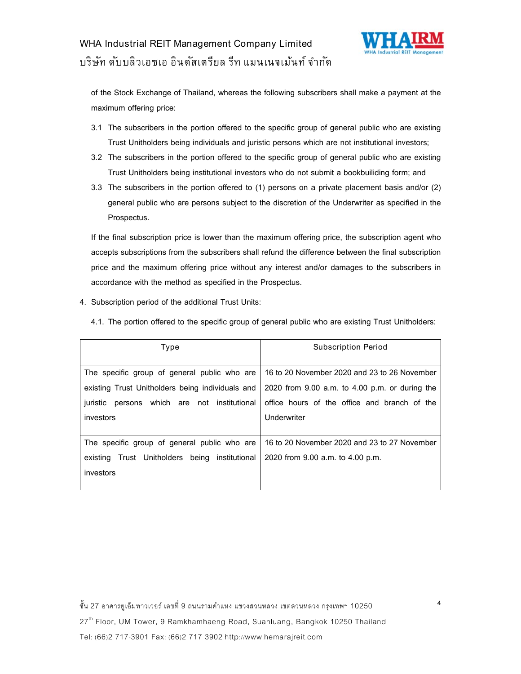

of the Stock Exchange of Thailand, whereas the following subscribers shall make a payment at the maximum offering price:

- 3.1 The subscribers in the portion offered to the specific group of general public who are existing Trust Unitholders being individuals and juristic persons which are not institutional investors;
- 3.2 The subscribers in the portion offered to the specific group of general public who are existing Trust Unitholders being institutional investors who do not submit a bookbuiliding form; and
- 3.3 The subscribers in the portion offered to (1) persons on a private placement basis and/or (2) general public who are persons subject to the discretion of the Underwriter as specified in the Prospectus.

If the final subscription price is lower than the maximum offering price, the subscription agent who accepts subscriptions from the subscribers shall refund the difference between the final subscription price and the maximum offering price without any interest and/or damages to the subscribers in accordance with the method as specified in the Prospectus.

- 4. Subscription period of the additional Trust Units:
	- 4.1. The portion offered to the specific group of general public who are existing Trust Unitholders:

| Type                                             | <b>Subscription Period</b>                         |
|--------------------------------------------------|----------------------------------------------------|
| The specific group of general public who are     | 16 to 20 November 2020 and 23 to 26 November       |
| existing Trust Unitholders being individuals and | 2020 from $9.00$ a.m. to $4.00$ p.m. or during the |
| juristic persons which are not institutional     | office hours of the office and branch of the       |
| investors                                        | Underwriter                                        |
|                                                  |                                                    |
| The specific group of general public who are     | 16 to 20 November 2020 and 23 to 27 November       |
| existing Trust Unitholders being institutional   | 2020 from 9.00 a.m. to 4.00 p.m.                   |
| investors                                        |                                                    |
|                                                  |                                                    |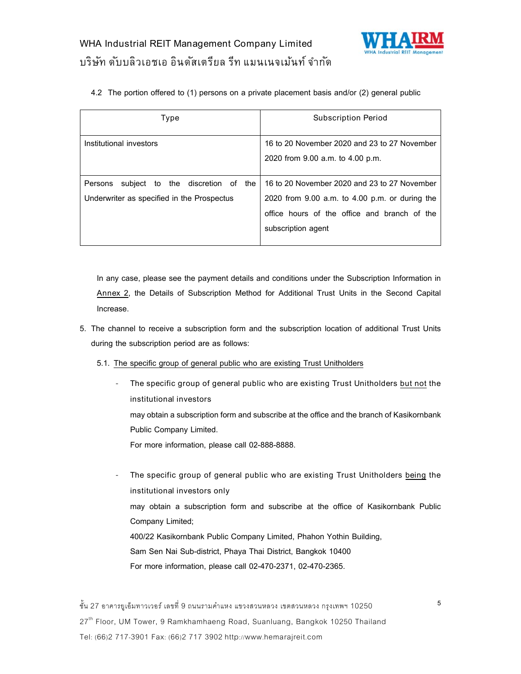

4.2 The portion offered to (1) persons on a private placement basis and/or (2) general public

| Type                                                                                      | <b>Subscription Period</b>                                                                                                                                               |
|-------------------------------------------------------------------------------------------|--------------------------------------------------------------------------------------------------------------------------------------------------------------------------|
| Institutional investors                                                                   | 16 to 20 November 2020 and 23 to 27 November<br>2020 from 9.00 a.m. to 4.00 p.m.                                                                                         |
| subject to the discretion of the<br>Persons<br>Underwriter as specified in the Prospectus | 16 to 20 November 2020 and 23 to 27 November<br>2020 from $9.00$ a.m. to $4.00$ p.m. or during the<br>office hours of the office and branch of the<br>subscription agent |

In any case, please see the payment details and conditions under the Subscription Information in Annex 2, the Details of Subscription Method for Additional Trust Units in the Second Capital Increase.

- 5. The channel to receive a subscription form and the subscription location of additional Trust Units during the subscription period are as follows:
	- 5.1. The specific group of general public who are existing Trust Unitholders
		- The specific group of general public who are existing Trust Unitholders but not the institutional investors may obtain a subscription form and subscribe at the office and the branch of Kasikornbank Public Company Limited. For more information, please call 02-888-8888.
		- The specific group of general public who are existing Trust Unitholders being the institutional investors only may obtain a subscription form and subscribe at the office of Kasikornbank Public Company Limited; 400/22 Kasikornbank Public Company Limited, Phahon Yothin Building, Sam Sen Nai Sub-district, Phaya Thai District, Bangkok 10400 For more information, please call 02-470-2371, 02-470-2365.

ชั้น 27 อาคารยูเอ็มทาวเวอร์ เลขที่ 9 ถนนรามคำแหง แขวงสวนหลวง เขตสวนหลวง กรุงเทพฯ 10250 27<sup>th</sup> Floor, UM Tower, 9 Ramkhamhaeng Road, Suanluang, Bangkok 10250 Thailand Tel: (66)2 717-3901 Fax: (66)2 717 3902 http://www.hemarajreit.com

5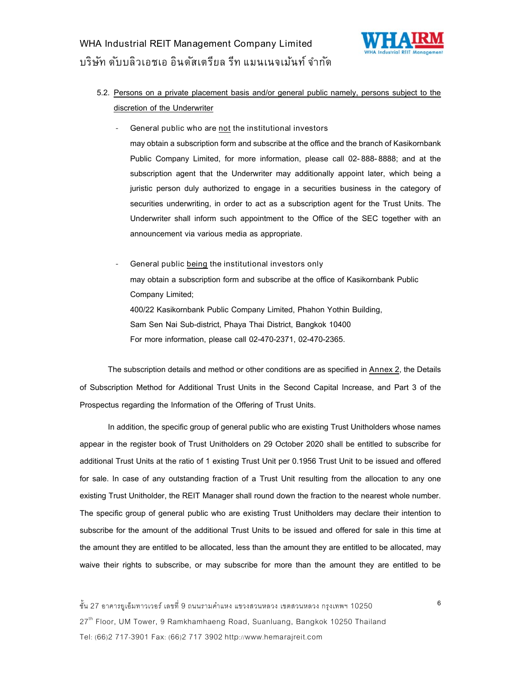

- 5.2. Persons on a private placement basis and/or general public namely, persons subject to the discretion of the Underwriter
	- General public who are not the institutional investors may obtain a subscription form and subscribe at the office and the branch of Kasikornbank Public Company Limited, for more information, please call 02-888- 8888; and at the subscription agent that the Underwriter may additionally appoint later, which being a juristic person duly authorized to engage in a securities business in the category of securities underwriting, in order to act as a subscription agent for the Trust Units. The Underwriter shall inform such appointment to the Office of the SEC together with an announcement via various media as appropriate.
	- General public being the institutional investors only may obtain a subscription form and subscribe at the office of Kasikornbank Public Company Limited; 400/22 Kasikornbank Public Company Limited, Phahon Yothin Building, Sam Sen Nai Sub-district, Phaya Thai District, Bangkok 10400 For more information, please call 02-470-2371, 02-470-2365.

The subscription details and method or other conditions are as specified in Annex 2, the Details of Subscription Method for Additional Trust Units in the Second Capital Increase, and Part 3 of the Prospectus regarding the Information of the Offering of Trust Units.

In addition, the specific group of general public who are existing Trust Unitholders whose names appear in the register book of Trust Unitholders on 29 October 2020 shall be entitled to subscribe for additional Trust Units at the ratio of 1 existing Trust Unit per 0.1956 Trust Unit to be issued and offered for sale. In case of any outstanding fraction of a Trust Unit resulting from the allocation to any one existing Trust Unitholder, the REIT Manager shall round down the fraction to the nearest whole number. The specific group of general public who are existing Trust Unitholders may declare their intention to subscribe for the amount of the additional Trust Units to be issued and offered for sale in this time at the amount they are entitled to be allocated, less than the amount they are entitled to be allocated, may waive their rights to subscribe, or may subscribe for more than the amount they are entitled to be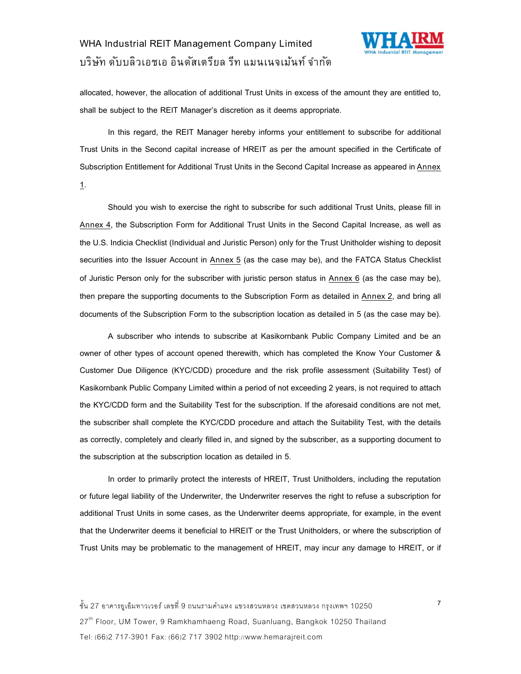## WHA Industrial REIT Management Company Limited ำเริ่นัท ดับบลิวเอชเอ อินดัสเตรียล รีท แมนเนจเม้นท์ จำกัด



allocated, however, the allocation of additional Trust Units in excess of the amount they are entitled to, shall be subject to the REIT Manager's discretion as it deems appropriate.

In this regard, the REIT Manager hereby informs your entitlement to subscribe for additional Trust Units in the Second capital increase of HREIT as per the amount specified in the Certificate of Subscription Entitlement for Additional Trust Units in the Second Capital Increase as appeared in Annex 1.

Should you wish to exercise the right to subscribe for such additional Trust Units, please fill in Annex 4, the Subscription Form for Additional Trust Units in the Second Capital Increase, as well as the U.S. Indicia Checklist (Individual and Juristic Person) only for the Trust Unitholder wishing to deposit securities into the Issuer Account in Annex 5 (as the case may be), and the FATCA Status Checklist of Juristic Person only for the subscriber with juristic person status in Annex 6 (as the case may be), then prepare the supporting documents to the Subscription Form as detailed in Annex 2, and bring all documents of the Subscription Form to the subscription location as detailed in 5 (as the case may be).

A subscriber who intends to subscribe at Kasikornbank Public Company Limited and be an owner of other types of account opened therewith, which has completed the Know Your Customer & Customer Due Diligence (KYC/CDD) procedure and the risk profile assessment (Suitability Test) of Kasikornbank Public Company Limited within a period of not exceeding 2 years, is not required to attach the KYC/CDD form and the Suitability Test for the subscription. If the aforesaid conditions are not met, the subscriber shall complete the KYC/CDD procedure and attach the Suitability Test, with the details as correctly, completely and clearly filled in, and signed by the subscriber, as a supporting document to the subscription at the subscription location as detailed in 5.

In order to primarily protect the interests of HREIT, Trust Unitholders, including the reputation or future legal liability of the Underwriter, the Underwriter reserves the right to refuse a subscription for additional Trust Units in some cases, as the Underwriter deems appropriate, for example, in the event that the Underwriter deems it beneficial to HREIT or the Trust Unitholders, or where the subscription of Trust Units may be problematic to the management of HREIT, may incur any damage to HREIT, or if